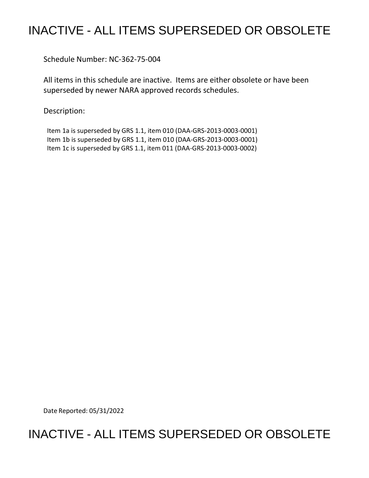## INACTIVE - ALL ITEMS SUPERSEDED OR OBSOLETE

Schedule Number: NC-362-75-004

 All items in this schedule are inactive. Items are either obsolete or have been superseded by newer NARA approved records schedules.

Description:

 Item 1a is superseded by GRS 1.1, item 010 (DAA-GRS-2013-0003-0001) Item 1b is superseded by GRS 1.1, item 010 (DAA-GRS-2013-0003-0001) Item 1c is superseded by GRS 1.1, item 011 (DAA-GRS-2013-0003-0002)

Date Reported: 05/31/2022

## INACTIVE - ALL ITEMS SUPERSEDED OR OBSOLETE